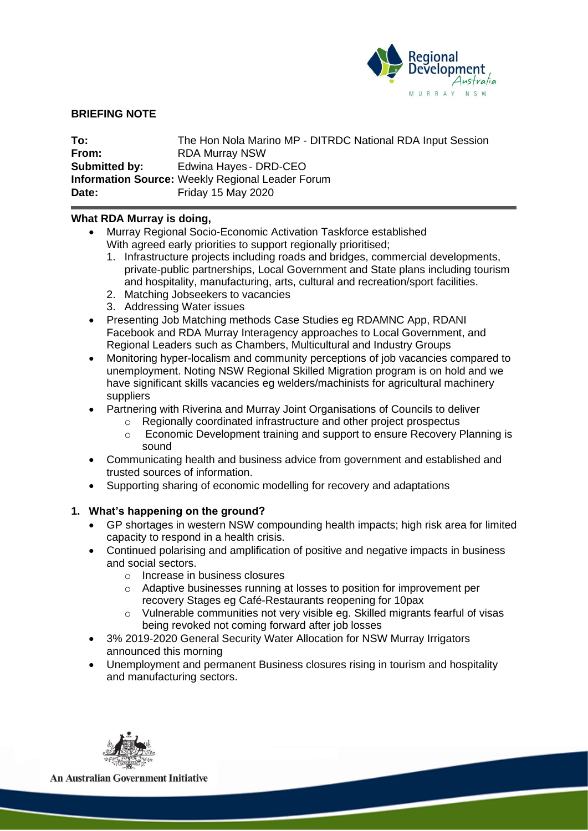

# **BRIEFING NOTE**

| To:                  | The Hon Nola Marino MP - DITRDC National RDA Input Session |
|----------------------|------------------------------------------------------------|
| From:                | <b>RDA Murray NSW</b>                                      |
| <b>Submitted by:</b> | Edwina Hayes - DRD-CEO                                     |
|                      | <b>Information Source: Weekly Regional Leader Forum</b>    |
| Date:                | <b>Friday 15 May 2020</b>                                  |

# **What RDA Murray is doing,**

- Murray Regional Socio-Economic Activation Taskforce established With agreed early priorities to support regionally prioritised;
	- 1. Infrastructure projects including roads and bridges, commercial developments, private-public partnerships, Local Government and State plans including tourism and hospitality, manufacturing, arts, cultural and recreation/sport facilities.
	- 2. Matching Jobseekers to vacancies
	- 3. Addressing Water issues
- Presenting Job Matching methods Case Studies eg RDAMNC App, RDANI Facebook and RDA Murray Interagency approaches to Local Government, and Regional Leaders such as Chambers, Multicultural and Industry Groups
- Monitoring hyper-localism and community perceptions of job vacancies compared to unemployment. Noting NSW Regional Skilled Migration program is on hold and we have significant skills vacancies eg welders/machinists for agricultural machinery suppliers
- Partnering with Riverina and Murray Joint Organisations of Councils to deliver
	- o Regionally coordinated infrastructure and other project prospectus
	- o Economic Development training and support to ensure Recovery Planning is sound
- Communicating health and business advice from government and established and trusted sources of information.
- Supporting sharing of economic modelling for recovery and adaptations

# **1. What's happening on the ground?**

- GP shortages in western NSW compounding health impacts; high risk area for limited capacity to respond in a health crisis.
- Continued polarising and amplification of positive and negative impacts in business and social sectors.
	- o Increase in business closures
	- o Adaptive businesses running at losses to position for improvement per recovery Stages eg Café-Restaurants reopening for 10pax
	- o Vulnerable communities not very visible eg. Skilled migrants fearful of visas being revoked not coming forward after job losses
- 3% 2019-2020 General Security Water Allocation for NSW Murray Irrigators announced this morning
- Unemployment and permanent Business closures rising in tourism and hospitality and manufacturing sectors.



**An Australian Government Initiative**